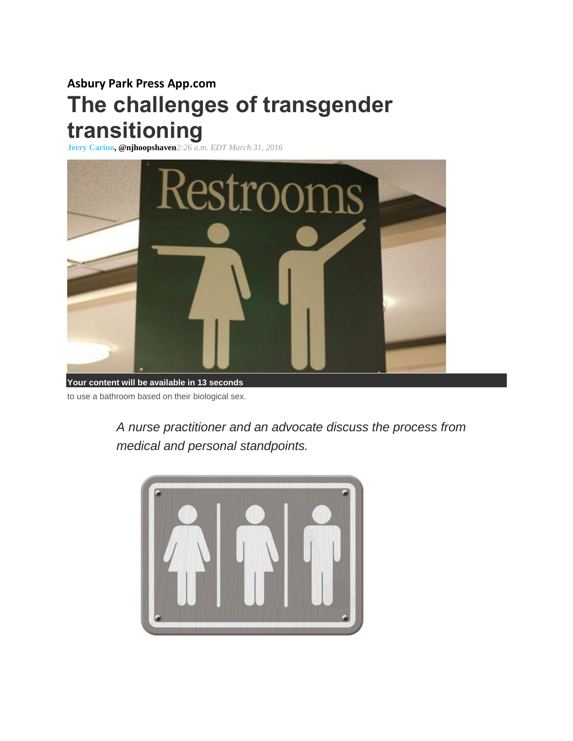# **Asbury Park Press App.com The challenges of transgender transitioning**

**[Jerry Carino,](http://www.app.com/staff/15489/jerry-carino/) @njhoopshaven***2:26 a.m. EDT March 31, 2016*



to use a bathroom based on their biological sex.

*A nurse practitioner and an advocate discuss the process from medical and personal standpoints.*

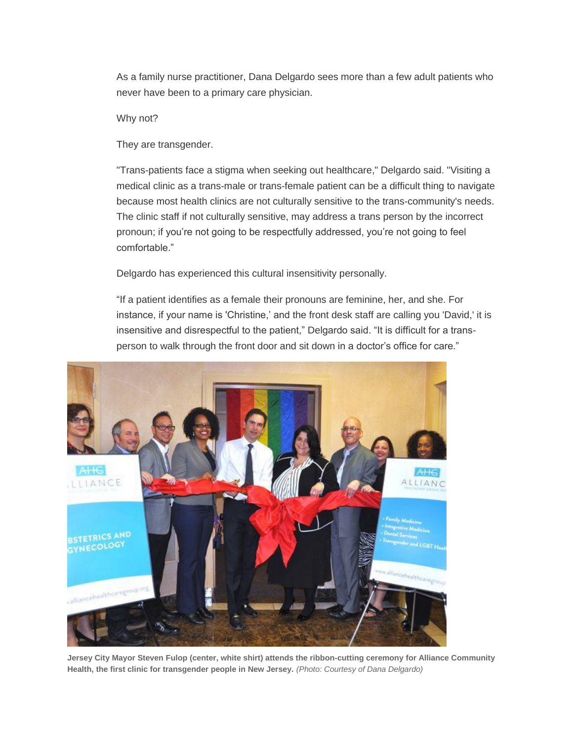As a family nurse practitioner, Dana Delgardo sees more than a few adult patients who never have been to a primary care physician.

## Why not?

They are transgender.

"Trans-patients face a stigma when seeking out healthcare," Delgardo said. "Visiting a medical clinic as a trans-male or trans-female patient can be a difficult thing to navigate because most health clinics are not culturally sensitive to the trans-community's needs. The clinic staff if not culturally sensitive, may address a trans person by the incorrect pronoun; if you're not going to be respectfully addressed, you're not going to feel comfortable."

Delgardo has experienced this cultural insensitivity personally.

"If a patient identifies as a female their pronouns are feminine, her, and she. For instance, if your name is 'Christine,' and the front desk staff are calling you 'David,' it is insensitive and disrespectful to the patient," Delgardo said. "It is difficult for a transperson to walk through the front door and sit down in a doctor's office for care."



**Jersey City Mayor Steven Fulop (center, white shirt) attends the ribbon-cutting ceremony for Alliance Community Health, the first clinic for transgender people in New Jersey.** *(Photo: Courtesy of Dana Delgardo)*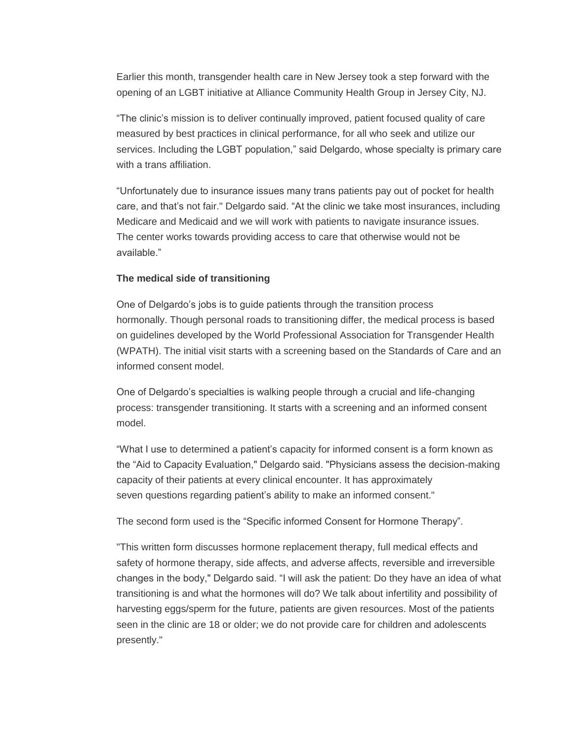Earlier this month, transgender health care in New Jersey took a step forward with the opening of an LGBT initiative at Alliance Community Health Group in Jersey City, NJ.

"The clinic's mission is to deliver continually improved, patient focused quality of care measured by best practices in clinical performance, for all who seek and utilize our services. Including the LGBT population," said Delgardo, whose specialty is primary care with a trans affiliation.

"Unfortunately due to insurance issues many trans patients pay out of pocket for health care, and that's not fair." Delgardo said. "At the clinic we take most insurances, including Medicare and Medicaid and we will work with patients to navigate insurance issues. The center works towards providing access to care that otherwise would not be available."

## **The medical side of transitioning**

One of Delgardo's jobs is to guide patients through the transition process hormonally. Though personal roads to transitioning differ, the medical process is based on guidelines developed by the World Professional Association for Transgender Health (WPATH). The initial visit starts with a screening based on the Standards of Care and an informed consent model.

One of Delgardo's specialties is walking people through a crucial and life-changing process: transgender transitioning. It starts with a screening and an informed consent model.

"What I use to determined a patient's capacity for informed consent is a form known as the "Aid to Capacity Evaluation," Delgardo said. "Physicians assess the decision-making capacity of their patients at every clinical encounter. It has approximately seven questions regarding patient's ability to make an informed consent."

The second form used is the "Specific informed Consent for Hormone Therapy".

"This written form discusses hormone replacement therapy, full medical effects and safety of hormone therapy, side affects, and adverse affects, reversible and irreversible changes in the body," Delgardo said. "I will ask the patient: Do they have an idea of what transitioning is and what the hormones will do? We talk about infertility and possibility of harvesting eggs/sperm for the future, patients are given resources. Most of the patients seen in the clinic are 18 or older; we do not provide care for children and adolescents presently."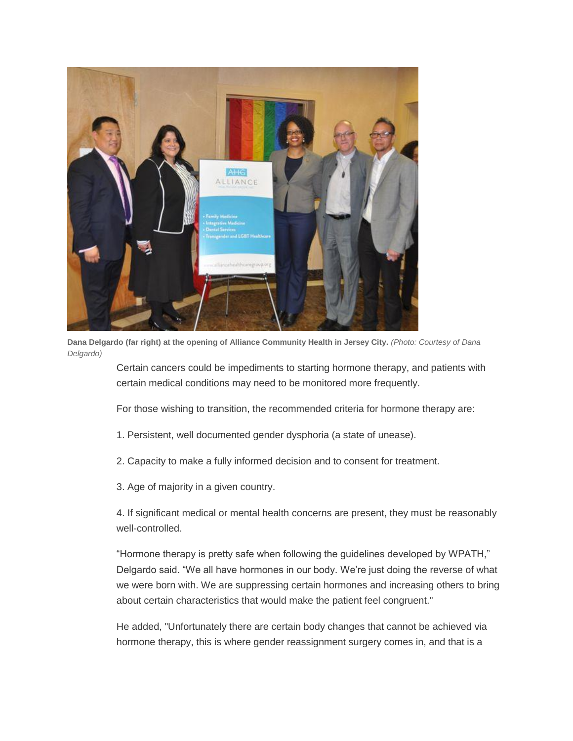

**Dana Delgardo (far right) at the opening of Alliance Community Health in Jersey City.** *(Photo: Courtesy of Dana Delgardo)*

> Certain cancers could be impediments to starting hormone therapy, and patients with certain medical conditions may need to be monitored more frequently.

For those wishing to transition, the recommended criteria for hormone therapy are:

1. Persistent, well documented gender dysphoria (a state of unease).

2. Capacity to make a fully informed decision and to consent for treatment.

3. Age of majority in a given country.

4. If significant medical or mental health concerns are present, they must be reasonably well-controlled.

"Hormone therapy is pretty safe when following the guidelines developed by WPATH," Delgardo said. "We all have hormones in our body. We're just doing the reverse of what we were born with. We are suppressing certain hormones and increasing others to bring about certain characteristics that would make the patient feel congruent."

He added, "Unfortunately there are certain body changes that cannot be achieved via hormone therapy, this is where gender reassignment surgery comes in, and that is a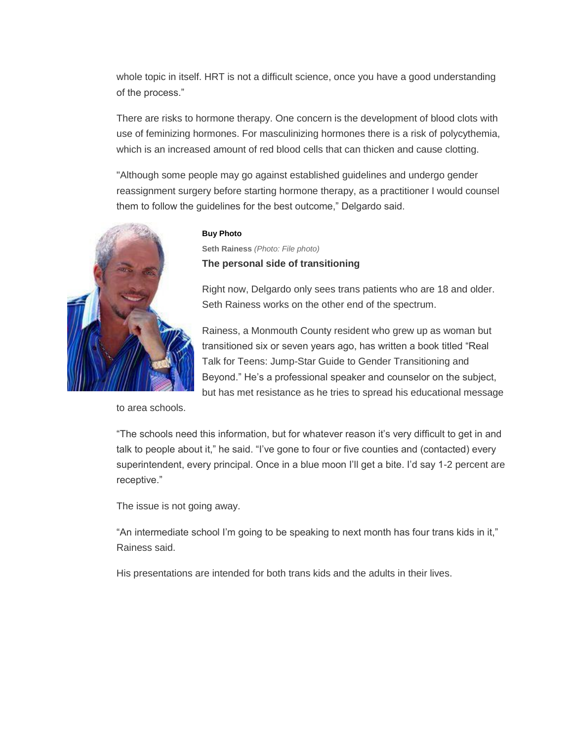whole topic in itself. HRT is not a difficult science, once you have a good understanding of the process."

There are risks to hormone therapy. One concern is the development of blood clots with use of feminizing hormones. For masculinizing hormones there is a risk of polycythemia, which is an increased amount of red blood cells that can thicken and cause clotting.

"Although some people may go against established guidelines and undergo gender reassignment surgery before starting hormone therapy, as a practitioner I would counsel them to follow the guidelines for the best outcome," Delgardo said.



to area schools.

#### **Buy Photo**

**Seth Rainess** *(Photo: File photo)* **The personal side of transitioning**

Right now, Delgardo only sees trans patients who are 18 and older. Seth Rainess works on the other end of the spectrum.

Rainess, a Monmouth County resident who grew up as woman but transitioned six or seven years ago, has written a book titled "Real Talk for Teens: Jump-Star Guide to Gender Transitioning and Beyond." He's a professional speaker and counselor on the subject, but has met resistance as he tries to spread his educational message

"The schools need this information, but for whatever reason it's very difficult to get in and talk to people about it," he said. "I've gone to four or five counties and (contacted) every superintendent, every principal. Once in a blue moon I'll get a bite. I'd say 1-2 percent are receptive."

The issue is not going away.

"An intermediate school I'm going to be speaking to next month has four trans kids in it," Rainess said.

His presentations are intended for both trans kids and the adults in their lives.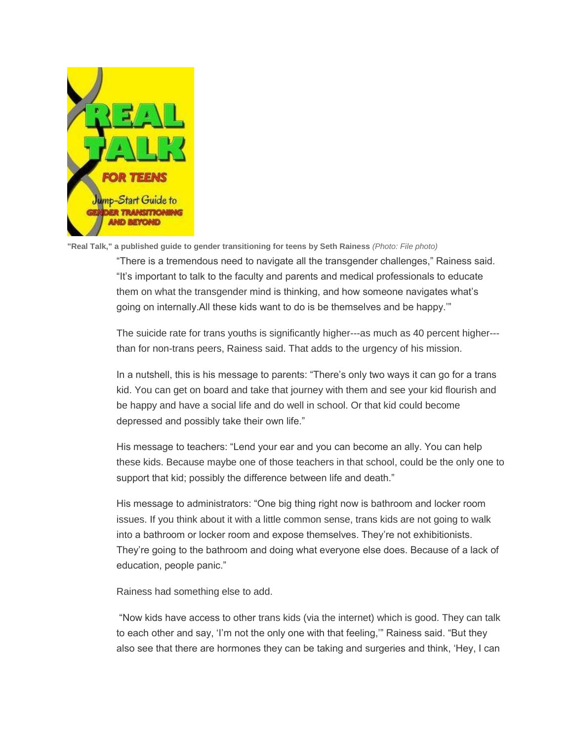

**"Real Talk," a published guide to gender transitioning for teens by Seth Rainess** *(Photo: File photo)*

"There is a tremendous need to navigate all the transgender challenges," Rainess said. "It's important to talk to the faculty and parents and medical professionals to educate them on what the transgender mind is thinking, and how someone navigates what's going on internally.All these kids want to do is be themselves and be happy.'"

The suicide rate for trans youths is significantly higher---as much as 40 percent higher-- than for non-trans peers, Rainess said. That adds to the urgency of his mission.

In a nutshell, this is his message to parents: "There's only two ways it can go for a trans kid. You can get on board and take that journey with them and see your kid flourish and be happy and have a social life and do well in school. Or that kid could become depressed and possibly take their own life."

His message to teachers: "Lend your ear and you can become an ally. You can help these kids. Because maybe one of those teachers in that school, could be the only one to support that kid; possibly the difference between life and death."

His message to administrators: "One big thing right now is bathroom and locker room issues. If you think about it with a little common sense, trans kids are not going to walk into a bathroom or locker room and expose themselves. They're not exhibitionists. They're going to the bathroom and doing what everyone else does. Because of a lack of education, people panic."

Rainess had something else to add.

"Now kids have access to other trans kids (via the internet) which is good. They can talk to each other and say, 'I'm not the only one with that feeling,'" Rainess said. "But they also see that there are hormones they can be taking and surgeries and think, 'Hey, I can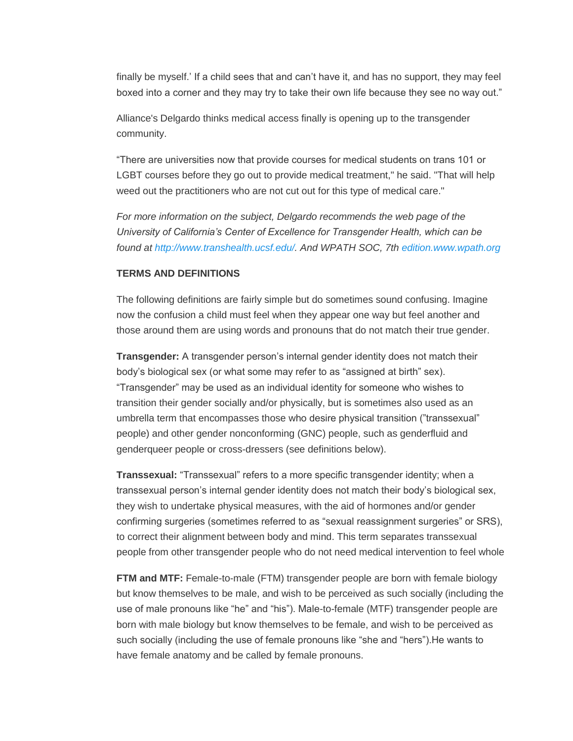finally be myself.' If a child sees that and can't have it, and has no support, they may feel boxed into a corner and they may try to take their own life because they see no way out."

Alliance's Delgardo thinks medical access finally is opening up to the transgender community.

"There are universities now that provide courses for medical students on trans 101 or LGBT courses before they go out to provide medical treatment," he said. "That will help weed out the practitioners who are not cut out for this type of medical care."

*For more information on the subject, Delgardo recommends the web page of the University of California's Center of Excellence for Transgender Health, which can be found at [http://www.transhealth.ucsf.edu/.](http://www.transhealth.ucsf.edu/) And WPATH SOC, 7th [edition.www.wpath.org](http://edition.www.wpath.org/)*

## **TERMS AND DEFINITIONS**

The following definitions are fairly simple but do sometimes sound confusing. Imagine now the confusion a child must feel when they appear one way but feel another and those around them are using words and pronouns that do not match their true gender.

**Transgender:** A transgender person's internal gender identity does not match their body's biological sex (or what some may refer to as "assigned at birth" sex). "Transgender" may be used as an individual identity for someone who wishes to transition their gender socially and/or physically, but is sometimes also used as an umbrella term that encompasses those who desire physical transition ("transsexual" people) and other gender nonconforming (GNC) people, such as genderfluid and genderqueer people or cross-dressers (see definitions below).

**Transsexual:** "Transsexual" refers to a more specific transgender identity; when a transsexual person's internal gender identity does not match their body's biological sex, they wish to undertake physical measures, with the aid of hormones and/or gender confirming surgeries (sometimes referred to as "sexual reassignment surgeries" or SRS), to correct their alignment between body and mind. This term separates transsexual people from other transgender people who do not need medical intervention to feel whole

**FTM and MTF:** Female-to-male (FTM) transgender people are born with female biology but know themselves to be male, and wish to be perceived as such socially (including the use of male pronouns like "he" and "his"). Male-to-female (MTF) transgender people are born with male biology but know themselves to be female, and wish to be perceived as such socially (including the use of female pronouns like "she and "hers").He wants to have female anatomy and be called by female pronouns.